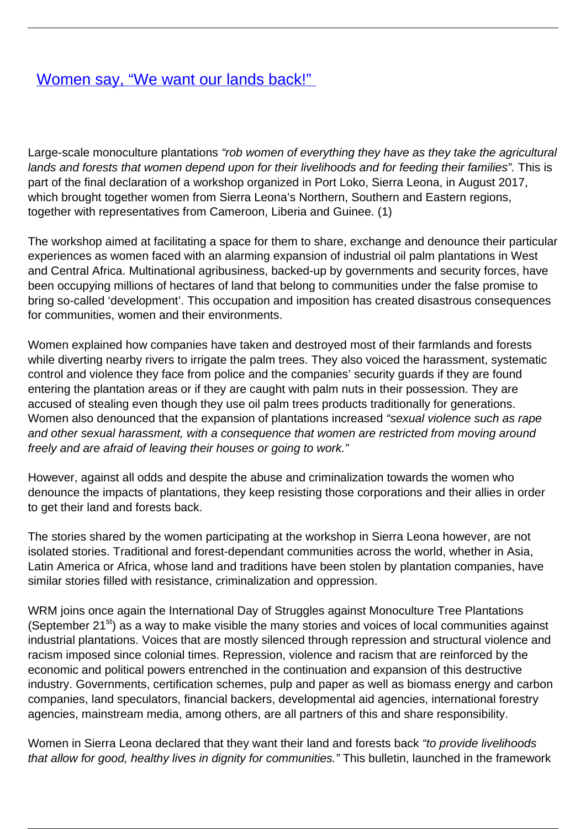## [Women say, "We want our lands back!"](/bulletin-articles/women-say-we-want-our-lands-back)

Large-scale monoculture plantations "rob women of everything they have as they take the agricultural lands and forests that women depend upon for their livelihoods and for feeding their families". This is part of the final declaration of a workshop organized in Port Loko, Sierra Leona, in August 2017, which brought together women from Sierra Leona's Northern, Southern and Eastern regions, together with representatives from Cameroon, Liberia and Guinee. (1)

The workshop aimed at facilitating a space for them to share, exchange and denounce their particular experiences as women faced with an alarming expansion of industrial oil palm plantations in West and Central Africa. Multinational agribusiness, backed-up by governments and security forces, have been occupying millions of hectares of land that belong to communities under the false promise to bring so-called 'development'. This occupation and imposition has created disastrous consequences for communities, women and their environments.

Women explained how companies have taken and destroyed most of their farmlands and forests while diverting nearby rivers to irrigate the palm trees. They also voiced the harassment, systematic control and violence they face from police and the companies' security guards if they are found entering the plantation areas or if they are caught with palm nuts in their possession. They are accused of stealing even though they use oil palm trees products traditionally for generations. Women also denounced that the expansion of plantations increased "sexual violence such as rape and other sexual harassment, with a consequence that women are restricted from moving around freely and are afraid of leaving their houses or going to work."

However, against all odds and despite the abuse and criminalization towards the women who denounce the impacts of plantations, they keep resisting those corporations and their allies in order to get their land and forests back.

The stories shared by the women participating at the workshop in Sierra Leona however, are not isolated stories. Traditional and forest-dependant communities across the world, whether in Asia, Latin America or Africa, whose land and traditions have been stolen by plantation companies, have similar stories filled with resistance, criminalization and oppression.

WRM joins once again the International Day of Struggles against Monoculture Tree Plantations (September 21<sup>st</sup>) as a way to make visible the many stories and voices of local communities against industrial plantations. Voices that are mostly silenced through repression and structural violence and racism imposed since colonial times. Repression, violence and racism that are reinforced by the economic and political powers entrenched in the continuation and expansion of this destructive industry. Governments, certification schemes, pulp and paper as well as biomass energy and carbon companies, land speculators, financial backers, developmental aid agencies, international forestry agencies, mainstream media, among others, are all partners of this and share responsibility.

Women in Sierra Leona declared that they want their land and forests back "to provide livelihoods" that allow for good, healthy lives in dignity for communities." This bulletin, launched in the framework